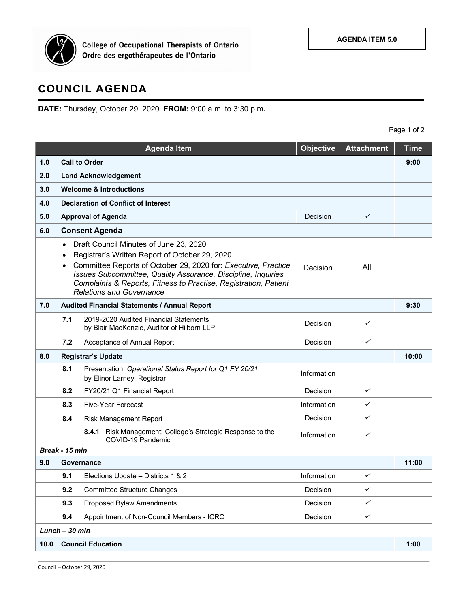

College of Occupational Therapists of Ontario<br>Ordre des ergothérapeutes de l'Ontario

## **COUNCIL AGENDA**

**DATE:** Thursday, October 29, 2020 **FROM:** 9:00 a.m. to 3:30 p.m**.**

Page 1 of 2

|                |                                                                                                                                                                                                                                                                                                                                                                                              | <b>Agenda Item</b>                                                                     | Objective   | <b>Attachment</b> | <b>Time</b> |  |
|----------------|----------------------------------------------------------------------------------------------------------------------------------------------------------------------------------------------------------------------------------------------------------------------------------------------------------------------------------------------------------------------------------------------|----------------------------------------------------------------------------------------|-------------|-------------------|-------------|--|
| 1.0            | <b>Call to Order</b>                                                                                                                                                                                                                                                                                                                                                                         |                                                                                        |             |                   |             |  |
| 2.0            | <b>Land Acknowledgement</b>                                                                                                                                                                                                                                                                                                                                                                  |                                                                                        |             |                   |             |  |
| 3.0            | <b>Welcome &amp; Introductions</b>                                                                                                                                                                                                                                                                                                                                                           |                                                                                        |             |                   |             |  |
| 4.0            | <b>Declaration of Conflict of Interest</b>                                                                                                                                                                                                                                                                                                                                                   |                                                                                        |             |                   |             |  |
| 5.0            |                                                                                                                                                                                                                                                                                                                                                                                              | <b>Approval of Agenda</b>                                                              | Decision    | ✓                 |             |  |
| 6.0            | <b>Consent Agenda</b>                                                                                                                                                                                                                                                                                                                                                                        |                                                                                        |             |                   |             |  |
|                | Draft Council Minutes of June 23, 2020<br>$\bullet$<br>Registrar's Written Report of October 29, 2020<br>$\bullet$<br>Committee Reports of October 29, 2020 for: Executive, Practice<br>$\bullet$<br>All<br>Decision<br>Issues Subcommittee, Quality Assurance, Discipline, Inquiries<br>Complaints & Reports, Fitness to Practise, Registration, Patient<br><b>Relations and Governance</b> |                                                                                        |             |                   |             |  |
| 7.0            | Audited Financial Statements / Annual Report                                                                                                                                                                                                                                                                                                                                                 |                                                                                        |             |                   |             |  |
|                | 7.1                                                                                                                                                                                                                                                                                                                                                                                          | 2019-2020 Audited Financial Statements<br>by Blair MacKenzie, Auditor of Hilborn LLP   | Decision    | ✓                 |             |  |
|                | 7.2                                                                                                                                                                                                                                                                                                                                                                                          | Acceptance of Annual Report                                                            | Decision    | $\checkmark$      |             |  |
| 8.0            | <b>Registrar's Update</b>                                                                                                                                                                                                                                                                                                                                                                    |                                                                                        |             |                   |             |  |
|                | 8.1                                                                                                                                                                                                                                                                                                                                                                                          | Presentation: Operational Status Report for Q1 FY 20/21<br>by Elinor Larney, Registrar | Information |                   |             |  |
|                | 8.2                                                                                                                                                                                                                                                                                                                                                                                          | FY20/21 Q1 Financial Report                                                            | Decision    | $\checkmark$      |             |  |
|                | 8.3                                                                                                                                                                                                                                                                                                                                                                                          | <b>Five-Year Forecast</b>                                                              | Information | ✓                 |             |  |
|                | 8.4                                                                                                                                                                                                                                                                                                                                                                                          | <b>Risk Management Report</b>                                                          | Decision    | ✓                 |             |  |
|                |                                                                                                                                                                                                                                                                                                                                                                                              | 8.4.1 Risk Management: College's Strategic Response to the<br>COVID-19 Pandemic        | Information | ✓                 |             |  |
|                | Break - 15 min                                                                                                                                                                                                                                                                                                                                                                               |                                                                                        |             |                   | 11:00       |  |
| 9.0            | Governance                                                                                                                                                                                                                                                                                                                                                                                   |                                                                                        |             |                   |             |  |
|                | 9.1                                                                                                                                                                                                                                                                                                                                                                                          | Elections Update - Districts 1 & 2                                                     | Information | ✓                 |             |  |
|                | 9.2                                                                                                                                                                                                                                                                                                                                                                                          | <b>Committee Structure Changes</b>                                                     | Decision    | ✓                 |             |  |
|                | 9.3                                                                                                                                                                                                                                                                                                                                                                                          | Proposed Bylaw Amendments                                                              | Decision    | ✓                 |             |  |
|                | 9.4                                                                                                                                                                                                                                                                                                                                                                                          | Appointment of Non-Council Members - ICRC                                              | Decision    | $\checkmark$      |             |  |
| Lunch - 30 min |                                                                                                                                                                                                                                                                                                                                                                                              |                                                                                        |             |                   |             |  |
| 10.0           | <b>Council Education</b>                                                                                                                                                                                                                                                                                                                                                                     |                                                                                        |             |                   |             |  |